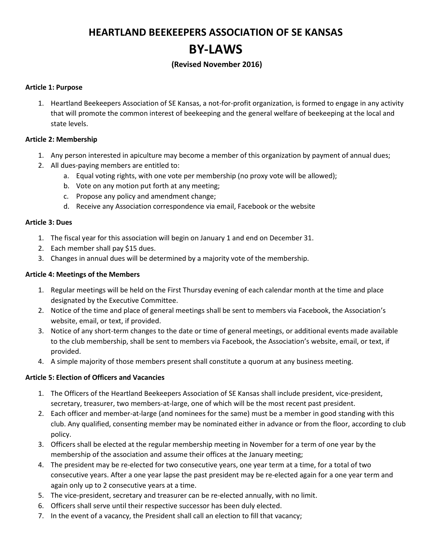# **HEARTLAND BEEKEEPERS ASSOCIATION OF SE KANSAS BY-LAWS**

# **(Revised November 2016)**

#### **Article 1: Purpose**

1. Heartland Beekeepers Association of SE Kansas, a not-for-profit organization, is formed to engage in any activity that will promote the common interest of beekeeping and the general welfare of beekeeping at the local and state levels.

#### **Article 2: Membership**

- 1. Any person interested in apiculture may become a member of this organization by payment of annual dues;
- 2. All dues-paying members are entitled to:
	- a. Equal voting rights, with one vote per membership (no proxy vote will be allowed);
	- b. Vote on any motion put forth at any meeting;
	- c. Propose any policy and amendment change;
	- d. Receive any Association correspondence via email, Facebook or the website

#### **Article 3: Dues**

- 1. The fiscal year for this association will begin on January 1 and end on December 31.
- 2. Each member shall pay \$15 dues.
- 3. Changes in annual dues will be determined by a majority vote of the membership.

#### **Article 4: Meetings of the Members**

- 1. Regular meetings will be held on the First Thursday evening of each calendar month at the time and place designated by the Executive Committee.
- 2. Notice of the time and place of general meetings shall be sent to members via Facebook, the Association's website, email, or text, if provided.
- 3. Notice of any short-term changes to the date or time of general meetings, or additional events made available to the club membership, shall be sent to members via Facebook, the Association's website, email, or text, if provided.
- 4. A simple majority of those members present shall constitute a quorum at any business meeting.

#### **Article 5: Election of Officers and Vacancies**

- 1. The Officers of the Heartland Beekeepers Association of SE Kansas shall include president, vice-president, secretary, treasurer, two members-at-large, one of which will be the most recent past president.
- 2. Each officer and member-at-large (and nominees for the same) must be a member in good standing with this club. Any qualified, consenting member may be nominated either in advance or from the floor, according to club policy.
- 3. Officers shall be elected at the regular membership meeting in November for a term of one year by the membership of the association and assume their offices at the January meeting;
- 4. The president may be re-elected for two consecutive years, one year term at a time, for a total of two consecutive years. After a one year lapse the past president may be re-elected again for a one year term and again only up to 2 consecutive years at a time.
- 5. The vice-president, secretary and treasurer can be re-elected annually, with no limit.
- 6. Officers shall serve until their respective successor has been duly elected.
- 7. In the event of a vacancy, the President shall call an election to fill that vacancy;